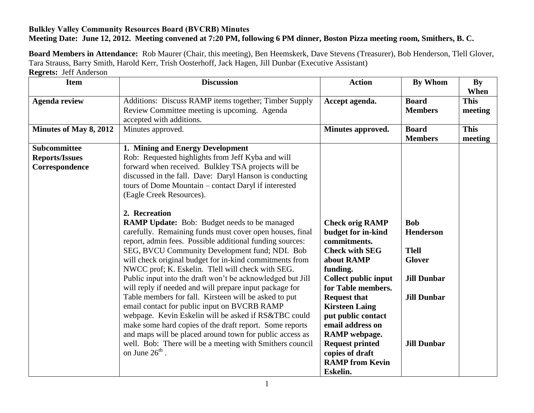## **Bulkley Valley Community Resources Board (BVCRB) Minutes Meeting Date: June 12, 2012. Meeting convened at 7:20 PM, following 6 PM dinner, Boston Pizza meeting room, Smithers, B. C.**

**Board Members in Attendance:** Rob Maurer (Chair, this meeting), Ben Heemskerk, Dave Stevens (Treasurer), Bob Henderson, Tlell Glover, Tara Strauss, Barry Smith, Harold Kerr, Trish Oosterhoff, Jack Hagen, Jill Dunbar (Executive Assistant) **Regrets:** Jeff Anderson

| <b>Item</b>                                             | <b>Discussion</b>                                                                                                                                                                                                                                                                                                                                                                                               | <b>Action</b>                                                                                                                                                                              | By Whom                                                                 | <b>By</b><br>When      |
|---------------------------------------------------------|-----------------------------------------------------------------------------------------------------------------------------------------------------------------------------------------------------------------------------------------------------------------------------------------------------------------------------------------------------------------------------------------------------------------|--------------------------------------------------------------------------------------------------------------------------------------------------------------------------------------------|-------------------------------------------------------------------------|------------------------|
| <b>Agenda review</b>                                    | Additions: Discuss RAMP items together; Timber Supply<br>Review Committee meeting is upcoming. Agenda<br>accepted with additions.                                                                                                                                                                                                                                                                               | Accept agenda.                                                                                                                                                                             | <b>Board</b><br><b>Members</b>                                          | <b>This</b><br>meeting |
| Minutes of May 8, 2012                                  | Minutes approved.                                                                                                                                                                                                                                                                                                                                                                                               | Minutes approved.                                                                                                                                                                          | <b>Board</b><br><b>Members</b>                                          | <b>This</b><br>meeting |
| Subcommittee<br><b>Reports/Issues</b><br>Correspondence | 1. Mining and Energy Development<br>Rob: Requested highlights from Jeff Kyba and will<br>forward when received. Bulkley TSA projects will be<br>discussed in the fall. Dave: Daryl Hanson is conducting<br>tours of Dome Mountain - contact Daryl if interested<br>(Eagle Creek Resources).<br>2. Recreation<br><b>RAMP Update:</b> Bob: Budget needs to be managed                                             | <b>Check orig RAMP</b>                                                                                                                                                                     | <b>Bob</b>                                                              |                        |
|                                                         | carefully. Remaining funds must cover open houses, final<br>report, admin fees. Possible additional funding sources:<br>SEG, BVCU Community Development fund; NDI. Bob<br>will check original budget for in-kind commitments from<br>NWCC prof; K. Eskelin. Tlell will check with SEG.<br>Public input into the draft won't be acknowledged but Jill<br>will reply if needed and will prepare input package for | budget for in-kind<br>commitments.<br><b>Check with SEG</b><br>about RAMP<br>funding.<br><b>Collect public input</b><br>for Table members.                                                 | <b>Henderson</b><br><b>Tlell</b><br><b>Glover</b><br><b>Jill Dunbar</b> |                        |
|                                                         | Table members for fall. Kirsteen will be asked to put<br>email contact for public input on BVCRB RAMP<br>webpage. Kevin Eskelin will be asked if RS&TBC could<br>make some hard copies of the draft report. Some reports<br>and maps will be placed around town for public access as<br>well. Bob: There will be a meeting with Smithers council<br>on June $26^{\text{th}}$ .                                  | <b>Request that</b><br><b>Kirsteen Laing</b><br>put public contact<br>email address on<br>RAMP webpage.<br><b>Request printed</b><br>copies of draft<br><b>RAMP</b> from Kevin<br>Eskelin. | <b>Jill Dunbar</b><br><b>Jill Dunbar</b>                                |                        |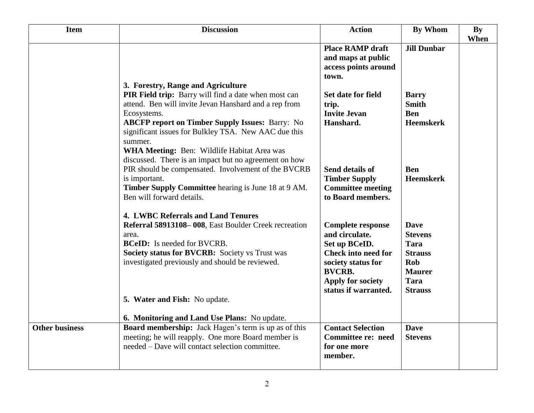| <b>Item</b>           | <b>Discussion</b>                                                                                                                                                                                                                                                                               | <b>Action</b>                                                                                                                                                                        | <b>By Whom</b>                                                                                                          | By<br>When |
|-----------------------|-------------------------------------------------------------------------------------------------------------------------------------------------------------------------------------------------------------------------------------------------------------------------------------------------|--------------------------------------------------------------------------------------------------------------------------------------------------------------------------------------|-------------------------------------------------------------------------------------------------------------------------|------------|
|                       |                                                                                                                                                                                                                                                                                                 | <b>Place RAMP draft</b><br>and maps at public<br>access points around<br>town.                                                                                                       | <b>Jill Dunbar</b>                                                                                                      |            |
|                       | 3. Forestry, Range and Agriculture<br>PIR Field trip: Barry will find a date when most can<br>attend. Ben will invite Jevan Hanshard and a rep from<br>Ecosystems.<br><b>ABCFP report on Timber Supply Issues: Barry: No</b><br>significant issues for Bulkley TSA. New AAC due this<br>summer. | Set date for field<br>trip.<br><b>Invite Jevan</b><br>Hanshard.                                                                                                                      | <b>Barry</b><br><b>Smith</b><br><b>Ben</b><br><b>Heemskerk</b>                                                          |            |
|                       | WHA Meeting: Ben: Wildlife Habitat Area was<br>discussed. There is an impact but no agreement on how<br>PIR should be compensated. Involvement of the BVCRB<br>is important.<br>Timber Supply Committee hearing is June 18 at 9 AM.<br>Ben will forward details.                                | Send details of<br><b>Timber Supply</b><br><b>Committee meeting</b><br>to Board members.                                                                                             | <b>Ben</b><br><b>Heemskerk</b>                                                                                          |            |
|                       | <b>4. LWBC Referrals and Land Tenures</b><br>Referral 58913108-008, East Boulder Creek recreation<br>area.<br><b>BCeID:</b> Is needed for BVCRB.<br>Society status for BVCRB: Society vs Trust was<br>investigated previously and should be reviewed.<br>5. Water and Fish: No update.          | <b>Complete response</b><br>and circulate.<br>Set up BCeID.<br><b>Check into need for</b><br>society status for<br><b>BVCRB.</b><br><b>Apply for society</b><br>status if warranted. | <b>Dave</b><br><b>Stevens</b><br><b>Tara</b><br><b>Strauss</b><br>Rob<br><b>Maurer</b><br><b>Tara</b><br><b>Strauss</b> |            |
|                       | 6. Monitoring and Land Use Plans: No update.                                                                                                                                                                                                                                                    |                                                                                                                                                                                      |                                                                                                                         |            |
| <b>Other business</b> | Board membership: Jack Hagen's term is up as of this<br>meeting; he will reapply. One more Board member is<br>needed – Dave will contact selection committee.                                                                                                                                   | <b>Contact Selection</b><br><b>Committee re: need</b><br>for one more<br>member.                                                                                                     | <b>Dave</b><br><b>Stevens</b>                                                                                           |            |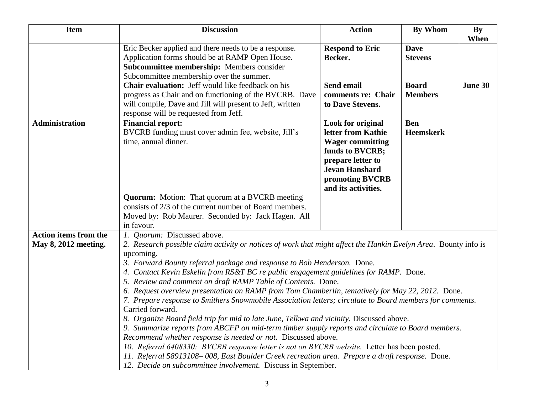| <b>Item</b>                                          | <b>Discussion</b>                                                                                                                                                                                                                                                                                                                                                                                                                                                                                                                                                                                                                                                                                                                                                                                                                                                                                                                                                                                                                                                                                                                                                         | <b>Action</b>                                                                                                                                                                        | <b>By Whom</b>                 | By<br>When |
|------------------------------------------------------|---------------------------------------------------------------------------------------------------------------------------------------------------------------------------------------------------------------------------------------------------------------------------------------------------------------------------------------------------------------------------------------------------------------------------------------------------------------------------------------------------------------------------------------------------------------------------------------------------------------------------------------------------------------------------------------------------------------------------------------------------------------------------------------------------------------------------------------------------------------------------------------------------------------------------------------------------------------------------------------------------------------------------------------------------------------------------------------------------------------------------------------------------------------------------|--------------------------------------------------------------------------------------------------------------------------------------------------------------------------------------|--------------------------------|------------|
|                                                      | Eric Becker applied and there needs to be a response.<br>Application forms should be at RAMP Open House.<br>Subcommittee membership: Members consider<br>Subcommittee membership over the summer.                                                                                                                                                                                                                                                                                                                                                                                                                                                                                                                                                                                                                                                                                                                                                                                                                                                                                                                                                                         | <b>Respond to Eric</b><br>Becker.                                                                                                                                                    | <b>Dave</b><br><b>Stevens</b>  |            |
|                                                      | Chair evaluation: Jeff would like feedback on his<br>progress as Chair and on functioning of the BVCRB. Dave<br>will compile, Dave and Jill will present to Jeff, written<br>response will be requested from Jeff.                                                                                                                                                                                                                                                                                                                                                                                                                                                                                                                                                                                                                                                                                                                                                                                                                                                                                                                                                        | Send email<br>comments re: Chair<br>to Dave Stevens.                                                                                                                                 | <b>Board</b><br><b>Members</b> | June 30    |
| <b>Administration</b>                                | <b>Financial report:</b><br>BVCRB funding must cover admin fee, website, Jill's<br>time, annual dinner.                                                                                                                                                                                                                                                                                                                                                                                                                                                                                                                                                                                                                                                                                                                                                                                                                                                                                                                                                                                                                                                                   | <b>Look for original</b><br>letter from Kathie<br><b>Wager committing</b><br>funds to BVCRB;<br>prepare letter to<br><b>Jevan Hanshard</b><br>promoting BVCRB<br>and its activities. | <b>Ben</b><br><b>Heemskerk</b> |            |
|                                                      | <b>Quorum:</b> Motion: That quorum at a BVCRB meeting<br>consists of 2/3 of the current number of Board members.<br>Moved by: Rob Maurer. Seconded by: Jack Hagen. All<br>in favour.                                                                                                                                                                                                                                                                                                                                                                                                                                                                                                                                                                                                                                                                                                                                                                                                                                                                                                                                                                                      |                                                                                                                                                                                      |                                |            |
| <b>Action items from the</b><br>May 8, 2012 meeting. | 1. Quorum: Discussed above.<br>2. Research possible claim activity or notices of work that might affect the Hankin Evelyn Area. Bounty info is<br>upcoming.<br>3. Forward Bounty referral package and response to Bob Henderson. Done.<br>4. Contact Kevin Eskelin from RS&T BC re public engagement guidelines for RAMP. Done.<br>5. Review and comment on draft RAMP Table of Contents. Done.<br>6. Request overview presentation on RAMP from Tom Chamberlin, tentatively for May 22, 2012. Done.<br>7. Prepare response to Smithers Snowmobile Association letters; circulate to Board members for comments.<br>Carried forward.<br>8. Organize Board field trip for mid to late June, Telkwa and vicinity. Discussed above.<br>9. Summarize reports from ABCFP on mid-term timber supply reports and circulate to Board members.<br>Recommend whether response is needed or not. Discussed above.<br>10. Referral 6408330: BVCRB response letter is not on BVCRB website. Letter has been posted.<br>11. Referral 58913108-008, East Boulder Creek recreation area. Prepare a draft response. Done.<br>12. Decide on subcommittee involvement. Discuss in September. |                                                                                                                                                                                      |                                |            |